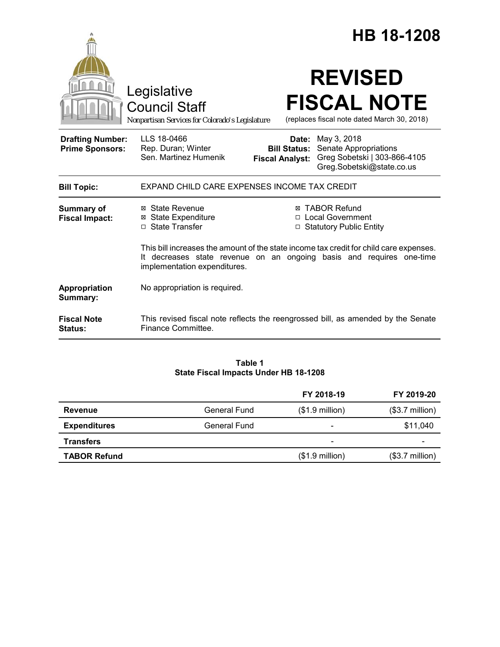|                                                   |                                                                                        | HB 18-1208                                                                                                                                                     |
|---------------------------------------------------|----------------------------------------------------------------------------------------|----------------------------------------------------------------------------------------------------------------------------------------------------------------|
|                                                   | Legislative<br><b>Council Staff</b><br>Nonpartisan Services for Colorado's Legislature | <b>REVISED</b><br><b>FISCAL NOTE</b><br>(replaces fiscal note dated March 30, 2018)                                                                            |
| <b>Drafting Number:</b><br><b>Prime Sponsors:</b> | LLS 18-0466<br>Rep. Duran; Winter<br>Sen, Martinez Humenik                             | <b>Date:</b> May 3, 2018<br><b>Bill Status:</b> Senate Appropriations<br>Greg Sobetski   303-866-4105<br><b>Fiscal Analyst:</b><br>Greg.Sobetski@state.co.us   |
| <b>Bill Topic:</b>                                | EXPAND CHILD CARE EXPENSES INCOME TAX CREDIT                                           |                                                                                                                                                                |
| <b>Summary of</b><br><b>Fiscal Impact:</b>        | ⊠ State Revenue<br><b>⊠</b> State Expenditure<br>□ State Transfer                      | ⊠ TABOR Refund<br>□ Local Government<br>□ Statutory Public Entity                                                                                              |
|                                                   | implementation expenditures.                                                           | This bill increases the amount of the state income tax credit for child care expenses.<br>It decreases state revenue on an ongoing basis and requires one-time |
| Appropriation<br>Summary:                         | No appropriation is required.                                                          |                                                                                                                                                                |
| <b>Fiscal Note</b><br><b>Status:</b>              | Finance Committee.                                                                     | This revised fiscal note reflects the reengrossed bill, as amended by the Senate                                                                               |

# **Table 1 State Fiscal Impacts Under HB 18-1208**

|                     |                     | FY 2018-19               | FY 2019-20               |
|---------------------|---------------------|--------------------------|--------------------------|
| Revenue             | <b>General Fund</b> | $($1.9 \text{ million})$ | $($3.7 \text{ million})$ |
| <b>Expenditures</b> | General Fund        | $\overline{\phantom{0}}$ | \$11,040                 |
| <b>Transfers</b>    |                     | $\overline{\phantom{0}}$ |                          |
| <b>TABOR Refund</b> |                     | $($1.9$ million)         | $($3.7$ million)         |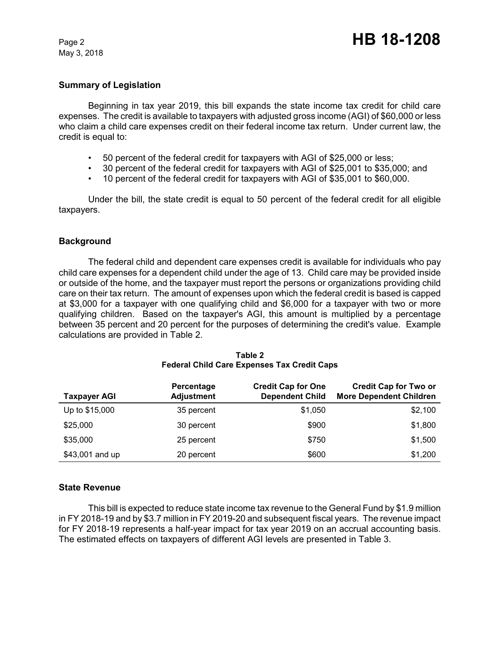May 3, 2018

## **Summary of Legislation**

Beginning in tax year 2019, this bill expands the state income tax credit for child care expenses. The credit is available to taxpayers with adjusted gross income (AGI) of \$60,000 or less who claim a child care expenses credit on their federal income tax return. Under current law, the credit is equal to:

- 50 percent of the federal credit for taxpayers with AGI of \$25,000 or less;
- 30 percent of the federal credit for taxpayers with AGI of \$25,001 to \$35,000; and
- 10 percent of the federal credit for taxpayers with AGI of \$35,001 to \$60,000.

Under the bill, the state credit is equal to 50 percent of the federal credit for all eligible taxpayers.

### **Background**

The federal child and dependent care expenses credit is available for individuals who pay child care expenses for a dependent child under the age of 13. Child care may be provided inside or outside of the home, and the taxpayer must report the persons or organizations providing child care on their tax return. The amount of expenses upon which the federal credit is based is capped at \$3,000 for a taxpayer with one qualifying child and \$6,000 for a taxpayer with two or more qualifying children. Based on the taxpayer's AGI, this amount is multiplied by a percentage between 35 percent and 20 percent for the purposes of determining the credit's value. Example calculations are provided in Table 2.

| <b>Taxpayer AGI</b> | Percentage<br><b>Adjustment</b> | <b>Credit Cap for One</b><br><b>Dependent Child</b> | <b>Credit Cap for Two or</b><br><b>More Dependent Children</b> |
|---------------------|---------------------------------|-----------------------------------------------------|----------------------------------------------------------------|
| Up to \$15,000      | 35 percent                      | \$1,050                                             | \$2,100                                                        |
| \$25,000            | 30 percent                      | \$900                                               | \$1,800                                                        |
| \$35,000            | 25 percent                      | \$750                                               | \$1,500                                                        |
| \$43,001 and up     | 20 percent                      | \$600                                               | \$1,200                                                        |

#### **Table 2 Federal Child Care Expenses Tax Credit Caps**

#### **State Revenue**

This bill is expected to reduce state income tax revenue to the General Fund by \$1.9 million in FY 2018-19 and by \$3.7 million in FY 2019-20 and subsequent fiscal years. The revenue impact for FY 2018-19 represents a half-year impact for tax year 2019 on an accrual accounting basis. The estimated effects on taxpayers of different AGI levels are presented in Table 3.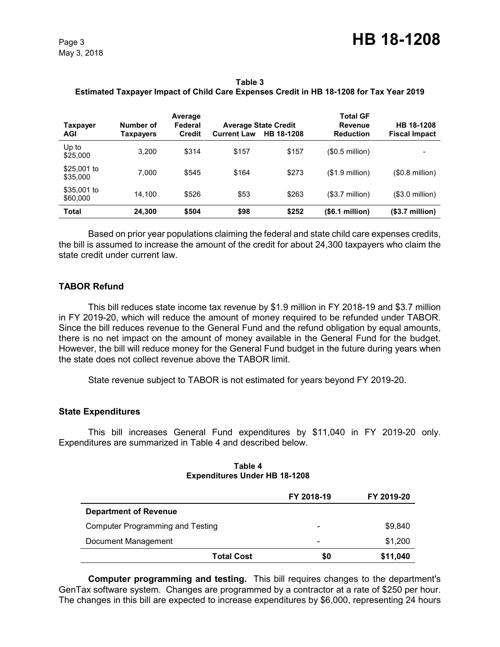**Table 3 Estimated Taxpayer Impact of Child Care Expenses Credit in HB 18-1208 for Tax Year 2019**

| Taxpayer<br><b>AGI</b>  | Number of<br>Taxpayers | Average<br>Federal<br><b>Credit</b> | <b>Current Law</b> | <b>Average State Credit</b><br>HB 18-1208 | <b>Total GF</b><br><b>Revenue</b><br><b>Reduction</b> | HB 18-1208<br><b>Fiscal Impact</b> |
|-------------------------|------------------------|-------------------------------------|--------------------|-------------------------------------------|-------------------------------------------------------|------------------------------------|
| Up to<br>\$25,000       | 3.200                  | \$314                               | \$157              | \$157                                     | (\$0.5 million)                                       |                                    |
| \$25,001 to<br>\$35,000 | 7.000                  | \$545                               | \$164              | \$273                                     | $($1.9$ million)                                      | $($0.8$ million $)$                |
| \$35,001 to<br>\$60,000 | 14.100                 | \$526                               | \$53               | \$263                                     | $($3.7$ million $)$                                   | $($3.0 \text{ million})$           |
| <b>Total</b>            | 24.300                 | \$504                               | \$98               | \$252                                     | $(S6.1$ million)                                      | $($3.7 \text{ million})$           |

Based on prior year populations claiming the federal and state child care expenses credits, the bill is assumed to increase the amount of the credit for about 24,300 taxpayers who claim the state credit under current law.

# **TABOR Refund**

This bill reduces state income tax revenue by \$1.9 million in FY 2018-19 and \$3.7 million in FY 2019-20, which will reduce the amount of money required to be refunded under TABOR. Since the bill reduces revenue to the General Fund and the refund obligation by equal amounts, there is no net impact on the amount of money available in the General Fund for the budget. However, the bill will reduce money for the General Fund budget in the future during years when the state does not collect revenue above the TABOR limit.

State revenue subject to TABOR is not estimated for years beyond FY 2019-20.

## **State Expenditures**

This bill increases General Fund expenditures by \$11,040 in FY 2019-20 only. Expenditures are summarized in Table 4 and described below.

| Table 4                              |  |
|--------------------------------------|--|
| <b>Expenditures Under HB 18-1208</b> |  |

|                                         | FY 2018-19               | FY 2019-20 |
|-----------------------------------------|--------------------------|------------|
| <b>Department of Revenue</b>            |                          |            |
| <b>Computer Programming and Testing</b> | $\overline{\phantom{a}}$ | \$9,840    |
| Document Management                     | $\overline{\phantom{0}}$ | \$1,200    |
| <b>Total Cost</b>                       | \$0                      | \$11,040   |

**Computer programming and testing.** This bill requires changes to the department's GenTax software system. Changes are programmed by a contractor at a rate of \$250 per hour. The changes in this bill are expected to increase expenditures by \$6,000, representing 24 hours